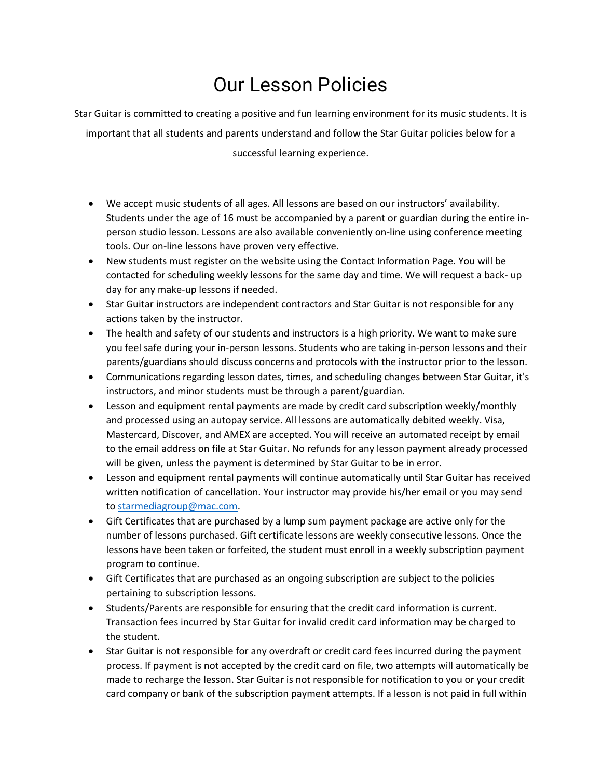## Our Lesson Policies

Star Guitar is committed to creating a positive and fun learning environment for its music students. It is important that all students and parents understand and follow the Star Guitar policies below for a successful learning experience.

- We accept music students of all ages. All lessons are based on our instructors' availability. Students under the age of 16 must be accompanied by a parent or guardian during the entire inperson studio lesson. Lessons are also available conveniently on-line using conference meeting tools. Our on-line lessons have proven very effective.
- New students must register on the website using the Contact Information Page. You will be contacted for scheduling weekly lessons for the same day and time. We will request a back- up day for any make-up lessons if needed.
- Star Guitar instructors are independent contractors and Star Guitar is not responsible for any actions taken by the instructor.
- The health and safety of our students and instructors is a high priority. We want to make sure you feel safe during your in-person lessons. Students who are taking in-person lessons and their parents/guardians should discuss concerns and protocols with the instructor prior to the lesson.
- Communications regarding lesson dates, times, and scheduling changes between Star Guitar, it's instructors, and minor students must be through a parent/guardian.
- Lesson and equipment rental payments are made by credit card subscription weekly/monthly and processed using an autopay service. All lessons are automatically debited weekly. Visa, Mastercard, Discover, and AMEX are accepted. You will receive an automated receipt by email to the email address on file at Star Guitar. No refunds for any lesson payment already processed will be given, unless the payment is determined by Star Guitar to be in error.
- Lesson and equipment rental payments will continue automatically until Star Guitar has received written notification of cancellation. Your instructor may provide his/her email or you may send to [starmediagroup@mac.com.](mailto:starmediagroup@mac.com)
- Gift Certificates that are purchased by a lump sum payment package are active only for the number of lessons purchased. Gift certificate lessons are weekly consecutive lessons. Once the lessons have been taken or forfeited, the student must enroll in a weekly subscription payment program to continue.
- Gift Certificates that are purchased as an ongoing subscription are subject to the policies pertaining to subscription lessons.
- Students/Parents are responsible for ensuring that the credit card information is current. Transaction fees incurred by Star Guitar for invalid credit card information may be charged to the student.
- Star Guitar is not responsible for any overdraft or credit card fees incurred during the payment process. If payment is not accepted by the credit card on file, two attempts will automatically be made to recharge the lesson. Star Guitar is not responsible for notification to you or your credit card company or bank of the subscription payment attempts. If a lesson is not paid in full within